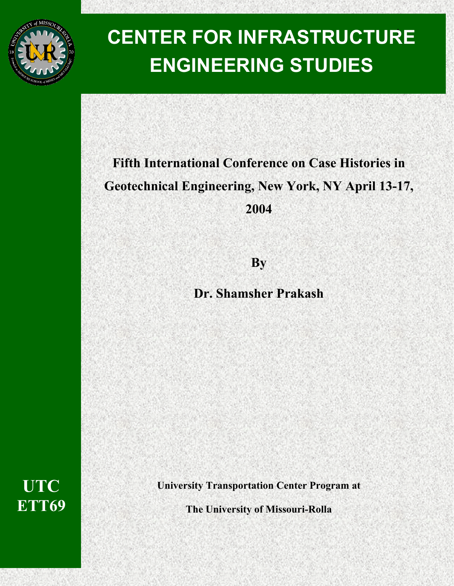

# <sup>1</sup>**CENTER FOR INFRASTRUCTURE ENGINEERING STUDIES**

# **Fifth International Conference on Case Histories in Geotechnical Engineering, New York, NY April 13-17, 2004**

**By** 

**Dr. Shamsher Prakash**

**UTC ETT69** 

**University Transportation Center Program at** 

**The University of Missouri-Rolla**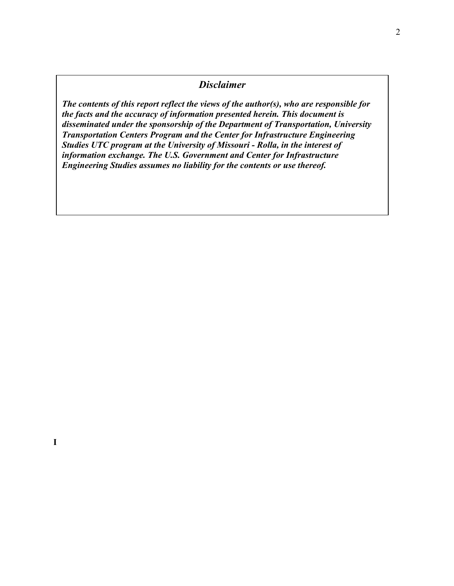### *Disclaimer*

*The contents of this report reflect the views of the author(s), who are responsible for the facts and the accuracy of information presented herein. This document is disseminated under the sponsorship of the Department of Transportation, University Transportation Centers Program and the Center for Infrastructure Engineering Studies UTC program at the University of Missouri - Rolla, in the interest of information exchange. The U.S. Government and Center for Infrastructure Engineering Studies assumes no liability for the contents or use thereof.*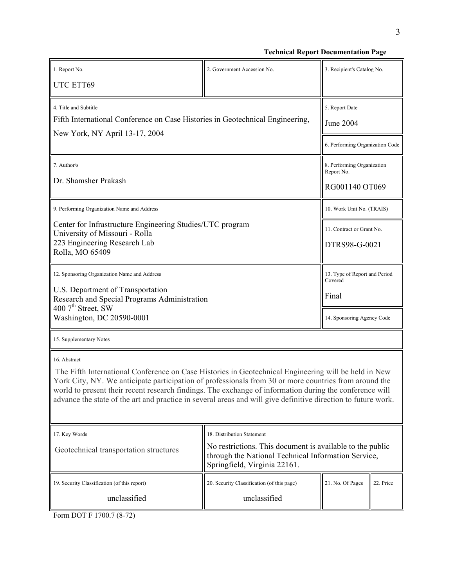3

**Technical Report Documentation Page**

| 1. Report No.<br>UTC ETT69                                                                                                                                                                                                                                                                                                                                                                                                                                | 2. Government Accession No.                                                                                                                                                    | 3. Recipient's Catalog No.                                                      |           |
|-----------------------------------------------------------------------------------------------------------------------------------------------------------------------------------------------------------------------------------------------------------------------------------------------------------------------------------------------------------------------------------------------------------------------------------------------------------|--------------------------------------------------------------------------------------------------------------------------------------------------------------------------------|---------------------------------------------------------------------------------|-----------|
| 4. Title and Subtitle<br>Fifth International Conference on Case Histories in Geotechnical Engineering,<br>New York, NY April 13-17, 2004                                                                                                                                                                                                                                                                                                                  |                                                                                                                                                                                | 5. Report Date<br><b>June 2004</b><br>6. Performing Organization Code           |           |
| 7. Author/s<br>Dr. Shamsher Prakash                                                                                                                                                                                                                                                                                                                                                                                                                       |                                                                                                                                                                                | 8. Performing Organization<br>Report No.<br>RG001140 OT069                      |           |
| 9. Performing Organization Name and Address                                                                                                                                                                                                                                                                                                                                                                                                               |                                                                                                                                                                                | 10. Work Unit No. (TRAIS)                                                       |           |
| Center for Infrastructure Engineering Studies/UTC program<br>University of Missouri - Rolla<br>223 Engineering Research Lab<br>Rolla, MO 65409                                                                                                                                                                                                                                                                                                            |                                                                                                                                                                                | 11. Contract or Grant No.<br>DTRS98-G-0021                                      |           |
| 12. Sponsoring Organization Name and Address<br>U.S. Department of Transportation<br>Research and Special Programs Administration<br>400 7 <sup>th</sup> Street, SW<br>Washington, DC 20590-0001                                                                                                                                                                                                                                                          |                                                                                                                                                                                | 13. Type of Report and Period<br>Covered<br>Final<br>14. Sponsoring Agency Code |           |
| 15. Supplementary Notes                                                                                                                                                                                                                                                                                                                                                                                                                                   |                                                                                                                                                                                |                                                                                 |           |
| 16. Abstract<br>The Fifth International Conference on Case Histories in Geotechnical Engineering will be held in New<br>York City, NY. We anticipate participation of professionals from 30 or more countries from around the<br>world to present their recent research findings. The exchange of information during the conference will<br>advance the state of the art and practice in several areas and will give definitive direction to future work. |                                                                                                                                                                                |                                                                                 |           |
| 17. Key Words<br>Geotechnical transportation structures                                                                                                                                                                                                                                                                                                                                                                                                   | 18. Distribution Statement<br>No restrictions. This document is available to the public<br>through the National Technical Information Service,<br>Springfield, Virginia 22161. |                                                                                 |           |
| 19. Security Classification (of this report)<br>unclassified                                                                                                                                                                                                                                                                                                                                                                                              | 20. Security Classification (of this page)<br>unclassified                                                                                                                     | 21. No. Of Pages                                                                | 22. Price |

Form DOT F 1700.7 (8-72)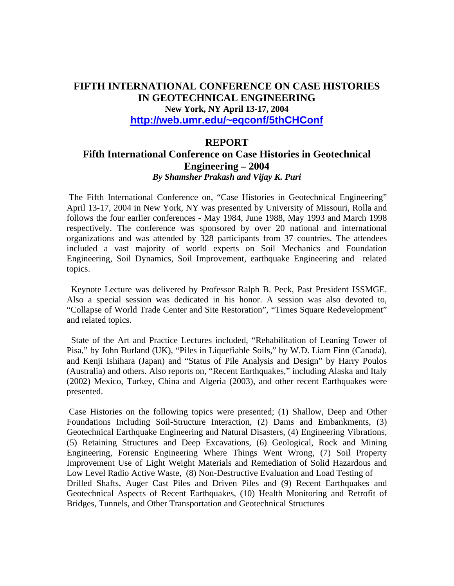## **FIFTH INTERNATIONAL CONFERENCE ON CASE HISTORIES IN GEOTECHNICAL ENGINEERING New York, NY April 13-17, 2004 <http://web.umr.edu/~eqconf/5thCHConf>**

#### **REPORT**

#### **Fifth International Conference on Case Histories in Geotechnical Engineering – 2004**  *By Shamsher Prakash and Vijay K. Puri*

 The Fifth International Conference on, "Case Histories in Geotechnical Engineering" April 13-17, 2004 in New York, NY was presented by University of Missouri, Rolla and follows the four earlier conferences - May 1984, June 1988, May 1993 and March 1998 respectively. The conference was sponsored by over 20 national and international organizations and was attended by 328 participants from 37 countries. The attendees included a vast majority of world experts on Soil Mechanics and Foundation Engineering, Soil Dynamics, Soil Improvement, earthquake Engineering and related topics.

 Keynote Lecture was delivered by Professor Ralph B. Peck, Past President ISSMGE. Also a special session was dedicated in his honor. A session was also devoted to, "Collapse of World Trade Center and Site Restoration", "Times Square Redevelopment" and related topics.

 State of the Art and Practice Lectures included, "Rehabilitation of Leaning Tower of Pisa," by John Burland (UK), "Piles in Liquefiable Soils," by W.D. Liam Finn (Canada), and Kenji Ishihara (Japan) and "Status of Pile Analysis and Design" by Harry Poulos (Australia) and others. Also reports on, "Recent Earthquakes," including Alaska and Italy (2002) Mexico, Turkey, China and Algeria (2003), and other recent Earthquakes were presented.

 Case Histories on the following topics were presented; (1) Shallow, Deep and Other Foundations Including Soil-Structure Interaction, (2) Dams and Embankments, (3) Geotechnical Earthquake Engineering and Natural Disasters, (4) Engineering Vibrations, (5) Retaining Structures and Deep Excavations, (6) Geological, Rock and Mining Engineering, Forensic Engineering Where Things Went Wrong, (7) Soil Property Improvement Use of Light Weight Materials and Remediation of Solid Hazardous and Low Level Radio Active Waste, (8) Non-Destructive Evaluation and Load Testing of Drilled Shafts, Auger Cast Piles and Driven Piles and (9) Recent Earthquakes and Geotechnical Aspects of Recent Earthquakes, (10) Health Monitoring and Retrofit of Bridges, Tunnels, and Other Transportation and Geotechnical Structures